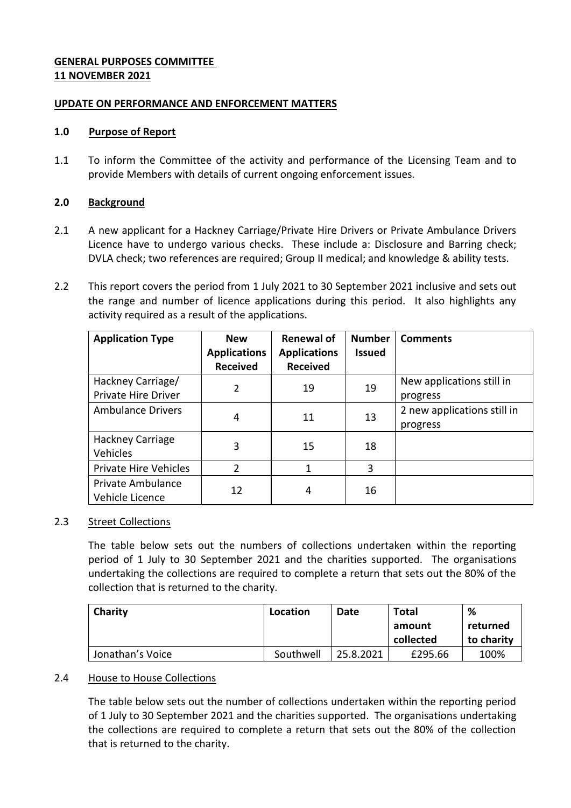### **GENERAL PURPOSES COMMITTEE 11 NOVEMBER 2021**

### **UPDATE ON PERFORMANCE AND ENFORCEMENT MATTERS**

#### **1.0 Purpose of Report**

1.1 To inform the Committee of the activity and performance of the Licensing Team and to provide Members with details of current ongoing enforcement issues.

### **2.0 Background**

- 2.1 A new applicant for a Hackney Carriage/Private Hire Drivers or Private Ambulance Drivers Licence have to undergo various checks. These include a: Disclosure and Barring check; DVLA check; two references are required; Group II medical; and knowledge & ability tests.
- 2.2 This report covers the period from 1 July 2021 to 30 September 2021 inclusive and sets out the range and number of licence applications during this period. It also highlights any activity required as a result of the applications.

| <b>Application Type</b>                         | <b>New</b><br><b>Applications</b> | <b>Renewal of</b><br><b>Applications</b> | <b>Number</b><br><b>Issued</b> | <b>Comments</b>                         |
|-------------------------------------------------|-----------------------------------|------------------------------------------|--------------------------------|-----------------------------------------|
|                                                 | <b>Received</b>                   | <b>Received</b>                          |                                |                                         |
| Hackney Carriage/<br><b>Private Hire Driver</b> | $\overline{2}$                    | 19                                       | 19                             | New applications still in<br>progress   |
| <b>Ambulance Drivers</b>                        | 4                                 | 11                                       | 13                             | 2 new applications still in<br>progress |
| Hackney Carriage<br>Vehicles                    | 3                                 | 15                                       | 18                             |                                         |
| <b>Private Hire Vehicles</b>                    | 2                                 | 1                                        | 3                              |                                         |
| Private Ambulance<br>Vehicle Licence            | 12                                | 4                                        | 16                             |                                         |

### 2.3 Street Collections

The table below sets out the numbers of collections undertaken within the reporting period of 1 July to 30 September 2021 and the charities supported. The organisations undertaking the collections are required to complete a return that sets out the 80% of the collection that is returned to the charity.

| Charity          | Location  | Date      | <b>Total</b> | %          |
|------------------|-----------|-----------|--------------|------------|
|                  |           |           | amount       | returned   |
|                  |           |           | collected    | to charity |
| Jonathan's Voice | Southwell | 25.8.2021 | £295.66      | 100%       |

### 2.4 House to House Collections

The table below sets out the number of collections undertaken within the reporting period of 1 July to 30 September 2021 and the charities supported. The organisations undertaking the collections are required to complete a return that sets out the 80% of the collection that is returned to the charity.